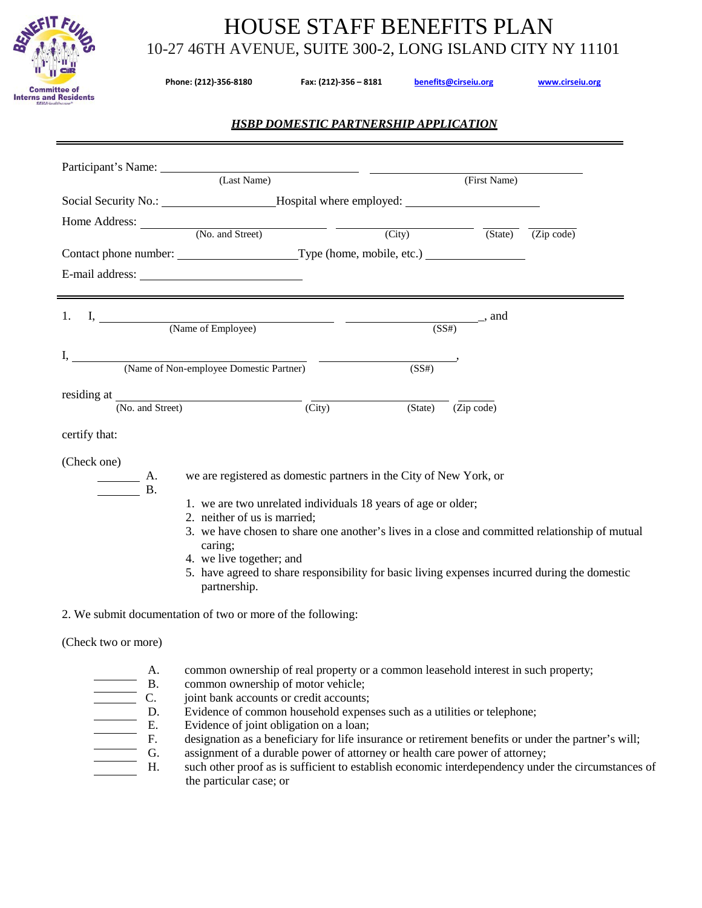

# HOUSE STAFF BENEFITS PLAN 10-27 46TH AVENUE, SUITE 300-2, LONG ISLAND CITY NY 11101

| <u>ା</u><br>"ା<br>ee of<br>Residents<br>care <sup>®</sup> | 10-27 46TH AVENUE, SUITE 300-2, LONG ISLAND CITY NY 11101<br>Phone: (212)-356-8180<br>Fax: (212)-356 - 8181<br>benefits@cirseiu.org<br>www.cirseiu.org |                                              |              |  |
|-----------------------------------------------------------|--------------------------------------------------------------------------------------------------------------------------------------------------------|----------------------------------------------|--------------|--|
|                                                           |                                                                                                                                                        | <b>HSBP DOMESTIC PARTNERSHIP APPLICATION</b> |              |  |
| Participant's Name:                                       | (Last Name)                                                                                                                                            |                                              | (First Name) |  |
| Social Security No.:                                      |                                                                                                                                                        | Hospital where employed:                     |              |  |

| Home Address:<br>(No. and Street)       | (City)            | (State)                                 | (Zip code) |
|-----------------------------------------|-------------------|-----------------------------------------|------------|
|                                         |                   |                                         |            |
|                                         |                   |                                         |            |
|                                         |                   |                                         |            |
| (Name of Employee)                      | (SS#)             | $\frac{1}{\sqrt{1-\frac{1}{2}}}\$ , and |            |
| (Name of Non-employee Domestic Partner) | (SS#)             |                                         |            |
| residing at<br>(No. and Street)         | (City)<br>(State) | (Zip code)                              |            |

| certify that: |  |
|---------------|--|
|---------------|--|

(Check one)

B.

A. we are registered as domestic partners in the City of New York, or

- 1. we are two unrelated individuals 18 years of age or older;
- 2. neither of us is married;
- 3. we have chosen to share one another's lives in a close and committed relationship of mutual caring;
- 4. we live together; and
- 5. have agreed to share responsibility for basic living expenses incurred during the domestic partnership.

### 2. We submit documentation of two or more of the following:

(Check two or more)

- A. common ownership of real property or a common leasehold interest in such property;
- B. common ownership of motor vehicle;<br>C. joint bank accounts or credit accounts;
	-
	- Evidence of common household expenses such as a utilities or telephone;
- C. joint bank accounts or credit accounts;<br>
D. Evidence of common household expen<br>
E. Evidence of joint obligation on a loan;<br>
F. designation as a beneficiary for life ins Evidence of joint obligation on a loan;
	- designation as a beneficiary for life insurance or retirement benefits or under the partner's will;
	- G. assignment of a durable power of attorney or health care power of attorney;
- H. such other proof as is sufficient to establish economic interdependency under the circumstances of the particular case; or